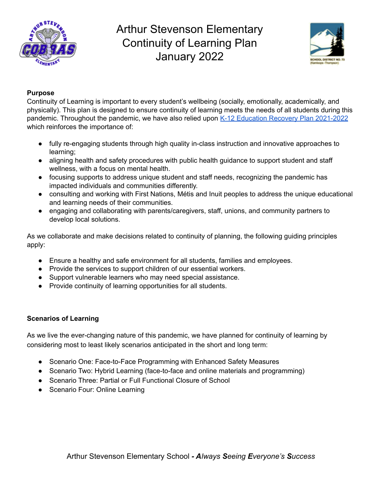



### **Purpose**

Continuity of Learning is important to every student's wellbeing (socially, emotionally, academically, and physically). This plan is designed to ensure continuity of learning meets the needs of all students during this pandemic. Throughout the pandemic, we have also relied upon K-12 Education Recovery Plan [2021-2022](https://www2.gov.bc.ca/assets/gov/education/administration/kindergarten-to-grade-12/safe-caring-orderly/k-12-education-recovery-plan.pdf) which reinforces the importance of:

- fully re-engaging students through high quality in-class instruction and innovative approaches to learning;
- aligning health and safety procedures with public health guidance to support student and staff wellness, with a focus on mental health.
- focusing supports to address unique student and staff needs, recognizing the pandemic has impacted individuals and communities differently.
- consulting and working with First Nations, Métis and Inuit peoples to address the unique educational and learning needs of their communities.
- engaging and collaborating with parents/caregivers, staff, unions, and community partners to develop local solutions.

As we collaborate and make decisions related to continuity of planning, the following guiding principles apply:

- Ensure a healthy and safe environment for all students, families and employees.
- Provide the services to support children of our essential workers.
- Support vulnerable learners who may need special assistance.
- Provide continuity of learning opportunities for all students.

#### **Scenarios of Learning**

As we live the ever-changing nature of this pandemic, we have planned for continuity of learning by considering most to least likely scenarios anticipated in the short and long term:

- Scenario One: Face-to-Face Programming with Enhanced Safety Measures
- Scenario Two: Hybrid Learning (face-to-face and online materials and programming)
- Scenario Three: Partial or Full Functional Closure of School
- Scenario Four: Online Learning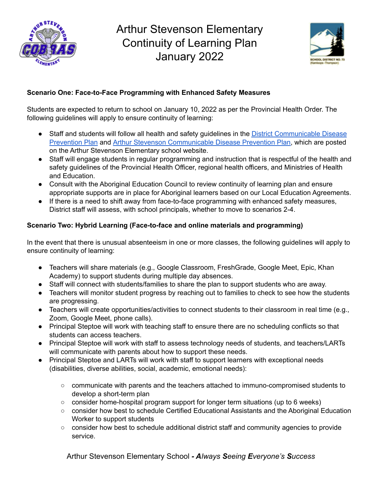



### **Scenario One: Face-to-Face Programming with Enhanced Safety Measures**

Students are expected to return to school on January 10, 2022 as per the Provincial Health Order. The following guidelines will apply to ensure continuity of learning:

- Staff and students will follow all health and safety guidelines in the **District [Communicable](https://www.sd73.bc.ca/en/community-parents-and-students/resources/CDPP/SD73-CDPP-Safe-and-Healthy-Facilities.pdf) Disease** [Prevention](https://www.sd73.bc.ca/en/community-parents-and-students/resources/CDPP/SD73-CDPP-Safe-and-Healthy-Facilities.pdf) Plan and Arthur Stevenson [Communicable](https://astevenson.sd73.bc.ca/en/resources/2021-2022/Arthur-Stevenon-CDPP-Jan-5.pdf) Disease Prevention Plan, which are posted on the Arthur Stevenson Elementary school website.
- Staff will engage students in regular programming and instruction that is respectful of the health and safety guidelines of the Provincial Health Officer, regional health officers, and Ministries of Health and Education.
- Consult with the Aboriginal Education Council to review continuity of learning plan and ensure appropriate supports are in place for Aboriginal learners based on our Local Education Agreements.
- If there is a need to shift away from face-to-face programming with enhanced safety measures, District staff will assess, with school principals, whether to move to scenarios 2-4.

### **Scenario Two: Hybrid Learning (Face-to-face and online materials and programming)**

In the event that there is unusual absenteeism in one or more classes, the following guidelines will apply to ensure continuity of learning:

- Teachers will share materials (e.g., Google Classroom, FreshGrade, Google Meet, Epic, Khan Academy) to support students during multiple day absences.
- Staff will connect with students/families to share the plan to support students who are away.
- Teachers will monitor student progress by reaching out to families to check to see how the students are progressing.
- Teachers will create opportunities/activities to connect students to their classroom in real time (e.g., Zoom, Google Meet, phone calls).
- Principal Steptoe will work with teaching staff to ensure there are no scheduling conflicts so that students can access teachers.
- Principal Steptoe will work with staff to assess technology needs of students, and teachers/LARTs will communicate with parents about how to support these needs.
- Principal Steptoe and LARTs will work with staff to support learners with exceptional needs (disabilities, diverse abilities, social, academic, emotional needs):
	- communicate with parents and the teachers attached to immuno-compromised students to develop a short-term plan
	- consider home-hospital program support for longer term situations (up to 6 weeks)
	- consider how best to schedule Certified Educational Assistants and the Aboriginal Education Worker to support students
	- consider how best to schedule additional district staff and community agencies to provide service.

Arthur Stevenson Elementary School *- Always Seeing Everyone's Success*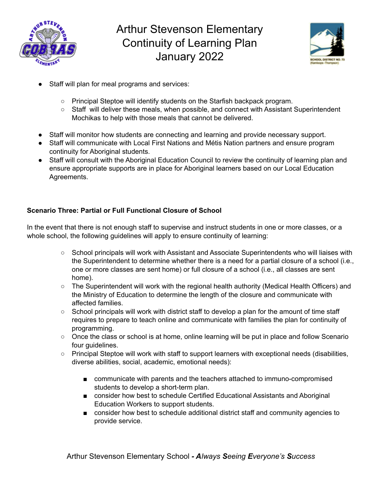



- Staff will plan for meal programs and services:
	- Principal Steptoe will identify students on the Starfish backpack program.
	- Staff will deliver these meals, when possible, and connect with Assistant Superintendent Mochikas to help with those meals that cannot be delivered.
- Staff will monitor how students are connecting and learning and provide necessary support.
- Staff will communicate with Local First Nations and Métis Nation partners and ensure program continuity for Aboriginal students.
- Staff will consult with the Aboriginal Education Council to review the continuity of learning plan and ensure appropriate supports are in place for Aboriginal learners based on our Local Education Agreements.

### **Scenario Three: Partial or Full Functional Closure of School**

In the event that there is not enough staff to supervise and instruct students in one or more classes, or a whole school, the following guidelines will apply to ensure continuity of learning:

- School principals will work with Assistant and Associate Superintendents who will liaises with the Superintendent to determine whether there is a need for a partial closure of a school (i.e., one or more classes are sent home) or full closure of a school (i.e., all classes are sent home).
- The Superintendent will work with the regional health authority (Medical Health Officers) and the Ministry of Education to determine the length of the closure and communicate with affected families.
- School principals will work with district staff to develop a plan for the amount of time staff requires to prepare to teach online and communicate with families the plan for continuity of programming.
- Once the class or school is at home, online learning will be put in place and follow Scenario four guidelines.
- Principal Steptoe will work with staff to support learners with exceptional needs (disabilities, diverse abilities, social, academic, emotional needs):
	- communicate with parents and the teachers attached to immuno-compromised students to develop a short-term plan.
	- consider how best to schedule Certified Educational Assistants and Aboriginal Education Workers to support students.
	- consider how best to schedule additional district staff and community agencies to provide service.